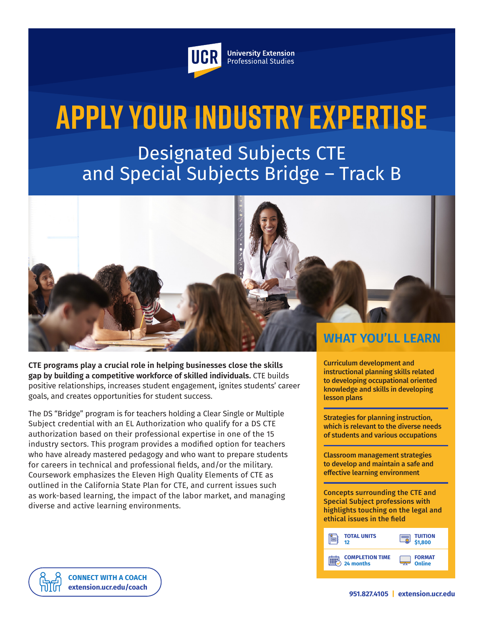

**University Extension** Professional Studies

# **Apply Your Industry Expertise**

Designated Subjects CTE and Special Subjects Bridge – Track B



**CTE programs play a crucial role in helping businesses close the skills gap by building a competitive workforce of skilled individuals.** CTE builds positive relationships, increases student engagement, ignites students' career goals, and creates opportunities for student success.

The DS "Bridge" program is for teachers holding a Clear Single or Multiple Subject credential with an EL Authorization who qualify for a DS CTE authorization based on their professional expertise in one of the 15 industry sectors. This program provides a modified option for teachers who have already mastered pedagogy and who want to prepare students for careers in technical and professional fields, and/or the military. Coursework emphasizes the Eleven High Quality Elements of CTE as outlined in the California State Plan for CTE, and current issues such as work-based learning, the impact of the labor market, and managing diverse and active learning environments.

Curriculum development and instructional planning skills related to developing occupational oriented knowledge and skills in developing lesson plans

Strategies for planning instruction, which is relevant to the diverse needs of students and various occupations

Classroom management strategies to develop and maintain a safe and effective learning environment

Concepts surrounding the CTE and Special Subject professions with highlights touching on the legal and ethical issues in the field

| <b>TOTAL UNITS</b>     | <b>TUITION</b> |
|------------------------|----------------|
| 12.                    | \$1,800        |
| <b>COMPLETION TIME</b> | <b>FORMAT</b>  |
| 24 months              | Online         |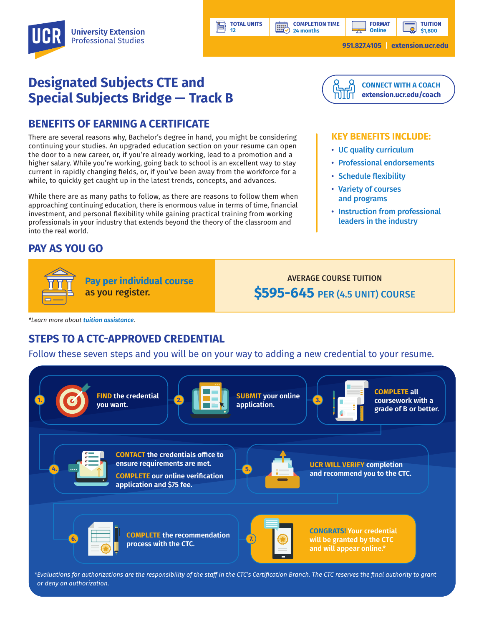**COMPLETION TIME 24 months**

**HILL** 

**TUITION \$1,800**

**951.827.4105 | [extension.ucr.edu](http://extension.ucr.edu)**

## **Designated Subjects CTE and Special Subjects Bridge — Track B**

## **BENEFITS OF EARNING A CERTIFICATE**

There are several reasons why, Bachelor's degree in hand, you might be considering continuing your studies. An upgraded education section on your resume can open the door to a new career, or, if you're already working, lead to a promotion and a higher salary. While you're working, going back to school is an excellent way to stay current in rapidly changing fields, or, if you've been away from the workforce for a while, to quickly get caught up in the latest trends, concepts, and advances.

While there are as many paths to follow, as there are reasons to follow them when approaching continuing education, there is enormous value in terms of time, financial investment, and personal flexibility while gaining practical training from working professionals in your industry that extends beyond the theory of the classroom and into the real world.

### **PAY AS YOU GO**



AVERAGE COURSE TUITION **\$595-645** PER (4.5 UNIT) COURSE

*\*Learn more about [tuition assistance](https://extension.ucr.edu/helpcenterstudentresources/financialandtuitionassistance).*

## **STEPS TO A CTC-APPROVED CREDENTIAL**

Follow these seven steps and you will be on your way to adding a new credential to your resume.

**TOTAL UNITS 12**



*\*Evaluations for authorizations are the responsibility of the staff in the CTC's Certification Branch. The CTC reserves the final authority to grant or deny an authorization.*



#### **KEY BENEFITS INCLUDE:**

- UC quality curriculum
- Professional endorsements
- Schedule flexibility
- Variety of courses and programs
- Instruction from professional leaders in the industry